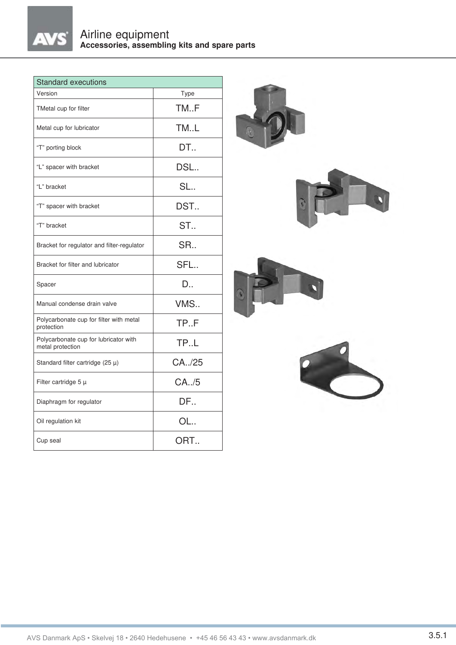

| <b>Standard executions</b>                                |                  |
|-----------------------------------------------------------|------------------|
| Version                                                   | Type             |
| TMetal cup for filter                                     | TM.F             |
| Metal cup for lubricator                                  | TM.L             |
| "T" porting block                                         | DT               |
| "L" spacer with bracket                                   | DSL              |
| "L" bracket                                               | SL               |
| "T" spacer with bracket                                   | DST              |
| "T" bracket                                               | ST               |
| Bracket for regulator and filter-regulator                | SR               |
| Bracket for filter and lubricator                         | SFL              |
| Spacer                                                    | $D_{\cdot\cdot}$ |
| Manual condense drain valve                               | VMS              |
| Polycarbonate cup for filter with metal<br>protection     | TP.F             |
| Polycarbonate cup for lubricator with<br>metal protection | TP.L             |
| Standard filter cartridge (25 $\mu$ )                     | CA/25            |
| Filter cartridge $5 \mu$                                  | CA. /5           |
| Diaphragm for regulator                                   | DF               |
| Oil regulation kit                                        | OL               |
| Cup seal                                                  | ORT              |

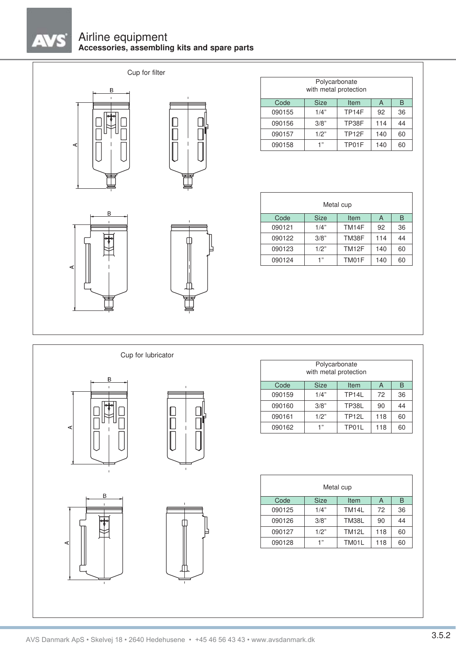# Airline equipment **Accessories, assembling kits and spare parts**

Cup for filter



**AVS** 



|        | Polycarbonate<br>with metal protection |                   |     |    |
|--------|----------------------------------------|-------------------|-----|----|
| Code   | <b>Size</b>                            | Item              | A   | B  |
| 090155 | 1/4"                                   | TP <sub>14F</sub> | 92  | 36 |
| 090156 | 3/8"                                   | TP38F             | 114 | 44 |
| 090157 | 1/2"                                   | TP <sub>12F</sub> | 140 | 60 |
| 090158 | 1"                                     | TP01F             | 140 | 60 |

|        |             | Metal cup         |     |    |
|--------|-------------|-------------------|-----|----|
| Code   | <b>Size</b> | Item              | A   | B  |
| 090121 | 1/4"        | TM14F             | 92  | 36 |
| 090122 | 3/8"        | TM38F             | 114 | 44 |
| 090123 | 1/2"        | TM <sub>12F</sub> | 140 | 60 |
| 090124 | 1"          | TM01F             | 140 | 60 |













|        | Polycarbonate<br>with metal protection |                    |     |    |
|--------|----------------------------------------|--------------------|-----|----|
| Code   | <b>Size</b>                            | Item               | A   | B  |
| 090159 | 1/4"                                   | TP <sub>14</sub> L | 72  | 36 |
| 090160 | 3/8"                                   | TP38L              | 90  | 44 |
| 090161 | 1/2"                                   | <b>TP12L</b>       | 118 | 60 |
| 090162 | 1"                                     | TP01L              | 118 | 60 |

|        |             | Metal cup    |     |    |
|--------|-------------|--------------|-----|----|
| Code   | <b>Size</b> | Item         | A   | B  |
| 090125 | 1/4"        | <b>TM14L</b> | 72  | 36 |
| 090126 | 3/8"        | <b>TM38L</b> | 90  | 44 |
| 090127 | 1/2"        | <b>TM12L</b> | 118 | 60 |
| 090128 | 4, 11       | TM01L        | 118 | 60 |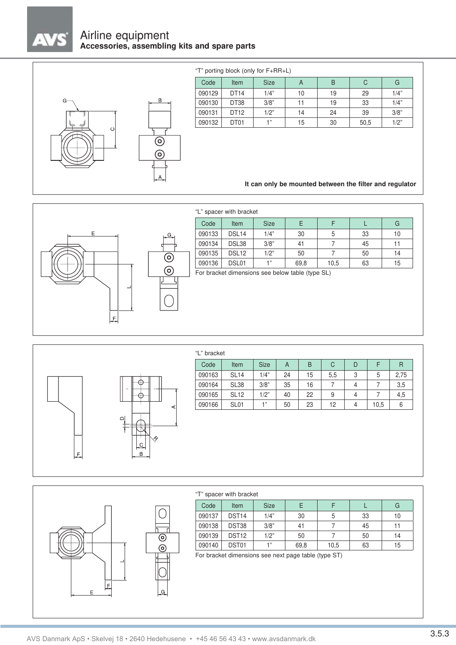

# Airline equipment **Accessories, assembling kits and spare parts**



## "T" porting block (only for F+RR+L)

| Code   | Item | <b>Size</b> | A  | B  | C    | G    |
|--------|------|-------------|----|----|------|------|
| 090129 | DT14 | 1/4"        | 10 | 19 | 29   | 1/4" |
| 090130 | DT38 | 3/8"        | 11 | 19 | 33   | 1/4" |
| 090131 | DT12 | 1/2"        | 14 | 24 | 39   | 3/8" |
| 090132 | DT01 | -4 22       | 15 | 30 | 50,5 | 1/2" |

## **It can only be mounted between the filter and regulator**



#### "L" spacer with bracket

| Code   | Item              | <b>Size</b> |      |      |    | G  |
|--------|-------------------|-------------|------|------|----|----|
| 090133 | DSL <sub>14</sub> | 1/4"        | 30   | 5    | 33 | 10 |
| 090134 | DSL38             | 3/8"        | 41   |      | 45 |    |
| 090135 | DSL <sub>12</sub> | 1/2"        | 50   |      | 50 | 14 |
| 090136 | DSL01             | 4, 33       | 69,8 | 10,5 | 63 | 15 |

For bracket dimensions see below table (type SL)



## "L" bracket

| Code   | Item             | <b>Size</b> |    | B  | C   |   |      | R    |
|--------|------------------|-------------|----|----|-----|---|------|------|
| 090163 | <b>SL14</b>      | 1/4"        | 24 | 15 | 5,5 | 3 | 5    | 2,75 |
| 090164 | SL <sub>38</sub> | 3/8"        | 35 | 16 |     | 4 |      | 3,5  |
| 090165 | <b>SL12</b>      | 1/2"        | 40 | 22 | 9   | 4 |      | 4,5  |
| 090166 | SL <sub>01</sub> | 4 "         | 50 | 23 | 12  | 4 | 10.5 | 6    |



|        | "T" spacer with bracket |             |      |      |    |    |
|--------|-------------------------|-------------|------|------|----|----|
| Code   | Item                    | <b>Size</b> | Е    |      |    | G  |
| 090137 | DST <sub>14</sub>       | 1/4"        | 30   | 5    | 33 | 10 |
| 090138 | DST38                   | 3/8"        | 41   |      | 45 | 11 |
| 090139 | DST <sub>12</sub>       | 1/2"        | 50   |      | 50 | 14 |
| 090140 | DST01                   | 1"          | 69,8 | 10,5 | 63 | 15 |

For bracket dimensions see next page table (type ST)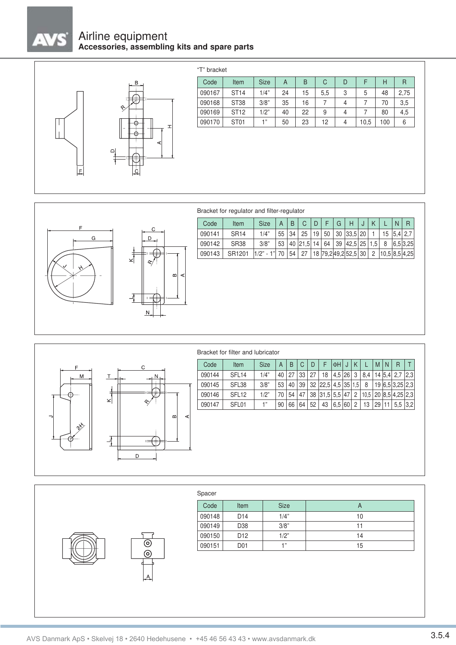# $^\star$

# Airline equipment **Accessories, assembling kits and spare parts**



| F<br>C<br>D<br><b>Size</b><br>B<br>Code<br>Item<br>A<br>3<br>1/4"<br>24<br>090167<br><b>ST14</b><br>5<br>15<br>5,5<br><b>ST38</b><br>3/8"<br>35<br>7<br>090168<br>16<br>4<br>7 | Н<br>48 | R<br>2,75 |
|--------------------------------------------------------------------------------------------------------------------------------------------------------------------------------|---------|-----------|
|                                                                                                                                                                                |         |           |
|                                                                                                                                                                                |         |           |
|                                                                                                                                                                                | 70      | 3,5       |
| <b>ST12</b><br>1/2"<br>9<br>090169<br>7<br>40<br>22<br>4                                                                                                                       | 80      | 4,5       |
| 1"<br>ST <sub>01</sub><br>090170<br>50<br>23<br>12<br>4<br>10,5                                                                                                                | 100     | 6         |



# Bracket for regulator and filter-regulator

| 1/4"<br>55<br>19<br>50<br>30<br> 33,5 20<br>090141<br><b>SR14</b><br>34<br>25<br>15<br> 5,4 2,7<br>3/8"<br>53<br>14<br>39<br>090142<br><b>SR38</b><br>40<br>64<br> 42,5 25<br>1,5<br>8<br>6,5 3,25<br> 21,5 <br>090143<br>27<br>18 79,2 49,2 52,5 30<br>SR1201<br>$1/2" - 1"$<br>70<br>54<br>2<br>⋖ |   | Code | Item | <b>Size</b> | $\overline{A}$ | B | C | D | F | G | Н | J | K | N | R |
|-----------------------------------------------------------------------------------------------------------------------------------------------------------------------------------------------------------------------------------------------------------------------------------------------------|---|------|------|-------------|----------------|---|---|---|---|---|---|---|---|---|---|
|                                                                                                                                                                                                                                                                                                     |   |      |      |             |                |   |   |   |   |   |   |   |   |   |   |
| $10,5$ 8,5 4,25                                                                                                                                                                                                                                                                                     |   |      |      |             |                |   |   |   |   |   |   |   |   |   |   |
|                                                                                                                                                                                                                                                                                                     |   |      |      |             |                |   |   |   |   |   |   |   |   |   |   |
|                                                                                                                                                                                                                                                                                                     | മ |      |      |             |                |   |   |   |   |   |   |   |   |   |   |
|                                                                                                                                                                                                                                                                                                     |   |      |      |             |                |   |   |   |   |   |   |   |   |   |   |



## Bracket for filter and lubricator



| Spacer |                 |             |    |
|--------|-----------------|-------------|----|
| Code   | <b>Item</b>     | <b>Size</b> | A  |
| 090148 | D <sub>14</sub> | 1/4"        | 10 |
| 090149 | D38             | 3/8"        | 11 |
| 090150 | D <sub>12</sub> | 1/2"        | 14 |
| 090151 | D <sub>01</sub> | 1"          | 15 |